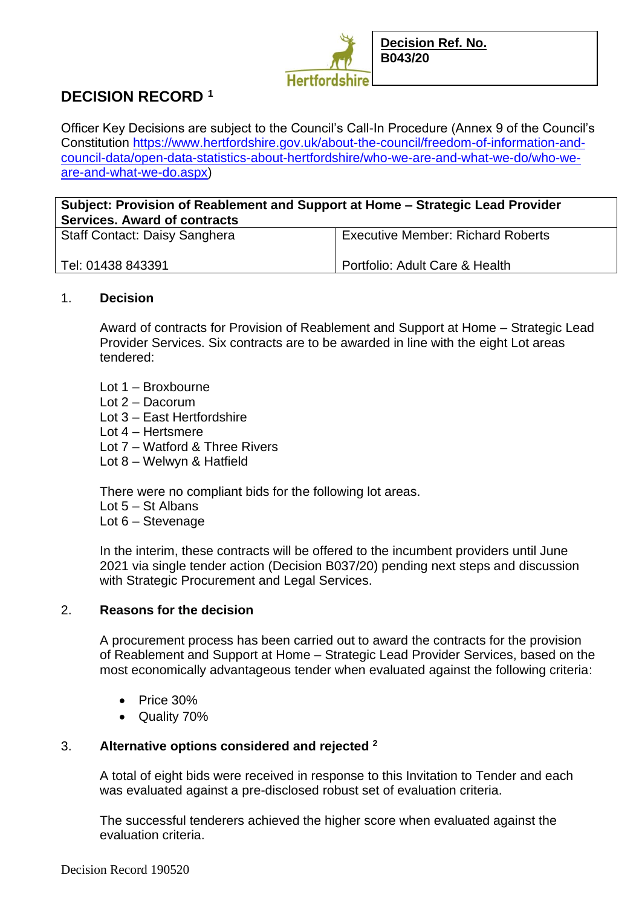

# **DECISION RECORD <sup>1</sup>**

Officer Key Decisions are subject to the Council's Call-In Procedure (Annex 9 of the Council's Constitution [https://www.hertfordshire.gov.uk/about-the-council/freedom-of-information-and](https://www.hertfordshire.gov.uk/about-the-council/freedom-of-information-and-council-data/open-data-statistics-about-hertfordshire/who-we-are-and-what-we-do/who-we-are-and-what-we-do.aspx)[council-data/open-data-statistics-about-hertfordshire/who-we-are-and-what-we-do/who-we](https://www.hertfordshire.gov.uk/about-the-council/freedom-of-information-and-council-data/open-data-statistics-about-hertfordshire/who-we-are-and-what-we-do/who-we-are-and-what-we-do.aspx)[are-and-what-we-do.aspx\)](https://www.hertfordshire.gov.uk/about-the-council/freedom-of-information-and-council-data/open-data-statistics-about-hertfordshire/who-we-are-and-what-we-do/who-we-are-and-what-we-do.aspx)

# **Subject: Provision of Reablement and Support at Home – Strategic Lead Provider Services. Award of contracts**

| <b>Staff Contact: Daisy Sanghera</b> | <b>Executive Member: Richard Roberts</b> |
|--------------------------------------|------------------------------------------|
| Tel: 01438 843391                    | Portfolio: Adult Care & Health           |

#### 1. **Decision**

Award of contracts for Provision of Reablement and Support at Home – Strategic Lead Provider Services. Six contracts are to be awarded in line with the eight Lot areas tendered:

- Lot 1 Broxbourne
- Lot 2 Dacorum
- Lot 3 East Hertfordshire
- Lot 4 Hertsmere
- Lot 7 Watford & Three Rivers
- Lot 8 Welwyn & Hatfield

There were no compliant bids for the following lot areas.

- Lot 5 St Albans
- Lot 6 Stevenage

In the interim, these contracts will be offered to the incumbent providers until June 2021 via single tender action (Decision B037/20) pending next steps and discussion with Strategic Procurement and Legal Services.

## 2. **Reasons for the decision**

A procurement process has been carried out to award the contracts for the provision of Reablement and Support at Home – Strategic Lead Provider Services, based on the most economically advantageous tender when evaluated against the following criteria:

- Price 30%
- Quality 70%

## 3. **Alternative options considered and rejected <sup>2</sup>**

A total of eight bids were received in response to this Invitation to Tender and each was evaluated against a pre-disclosed robust set of evaluation criteria.

The successful tenderers achieved the higher score when evaluated against the evaluation criteria.